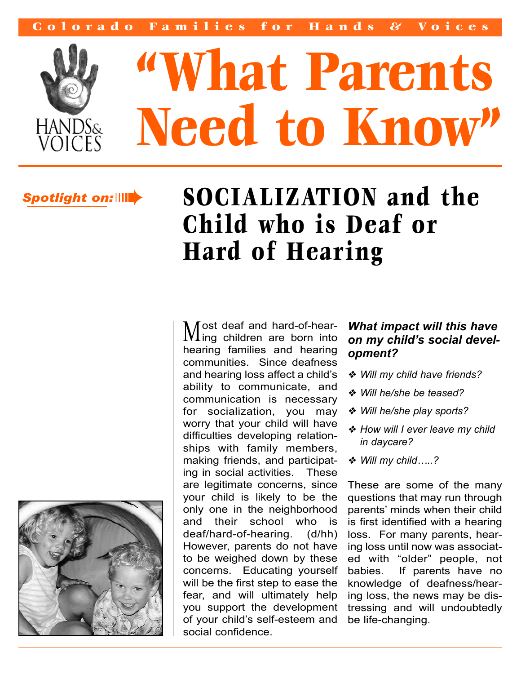

# **"What Parents Need to Know"**

# *Spotlight on:*➠

# **SOCIALIZATION and the Child who is Deaf or Hard of Hearing**

ost deaf and hard-of-hear-Most dear and nard-or-riear-<br>Ming children are born into hearing families and hearing communities. Since deafness and hearing loss affect a child's ability to communicate, and communication is necessary for socialization, you may worry that your child will have difficulties developing relationships with family members, making friends, and participating in social activities. These are legitimate concerns, since your child is likely to be the only one in the neighborhood and their school who is deaf/hard-of-hearing. (d/hh) However, parents do not have to be weighed down by these concerns. Educating yourself will be the first step to ease the fear, and will ultimately help you support the development of your child's self-esteem and social confidence.

### *What impact will this have on my child's social development?*

- ❖ *Will my child have friends?*
- ❖ *Will he/she be teased?*
- ❖ *Will he/she play sports?*
- ❖ *How will I ever leave my child in daycare?*
- ❖ *Will my child…..?*

These are some of the many questions that may run through parents' minds when their child is first identified with a hearing loss. For many parents, hearing loss until now was associated with "older" people, not babies. If parents have no knowledge of deafness/hearing loss, the news may be distressing and will undoubtedly be life-changing.

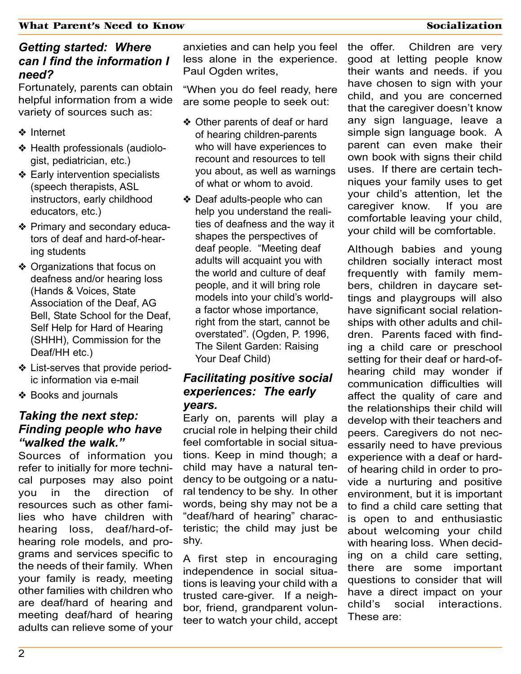#### *Getting started: Where can I find the information I need?*

Fortunately, parents can obtain helpful information from a wide variety of sources such as:

- ❖ Internet
- ❖ Health professionals (audiologist, pediatrician, etc.)
- ❖ Early intervention specialists (speech therapists, ASL instructors, early childhood educators, etc.)
- ❖ Primary and secondary educators of deaf and hard-of-hearing students
- ❖ Organizations that focus on deafness and/or hearing loss (Hands & Voices, State Association of the Deaf, AG Bell, State School for the Deaf, Self Help for Hard of Hearing (SHHH), Commission for the Deaf/HH etc.)
- ❖ List-serves that provide periodic information via e-mail
- ❖ Books and journals

#### *Taking the next step: Finding people who have "walked the walk."*

Sources of information you refer to initially for more technical purposes may also point you in the direction of resources such as other families who have children with hearing loss, deaf/hard-ofhearing role models, and programs and services specific to the needs of their family. When your family is ready, meeting other families with children who are deaf/hard of hearing and meeting deaf/hard of hearing adults can relieve some of your

anxieties and can help you feel less alone in the experience. Paul Ogden writes,

"When you do feel ready, here are some people to seek out:

- ❖ Other parents of deaf or hard of hearing children-parents who will have experiences to recount and resources to tell you about, as well as warnings of what or whom to avoid.
- ❖ Deaf adults-people who can help you understand the realities of deafness and the way it shapes the perspectives of deaf people. "Meeting deaf adults will acquaint you with the world and culture of deaf people, and it will bring role models into your child's worlda factor whose importance, right from the start, cannot be overstated". (Ogden, P. 1996, The Silent Garden: Raising Your Deaf Child)

#### *Facilitating positive social experiences: The early years.*

Early on, parents will play a crucial role in helping their child feel comfortable in social situations. Keep in mind though; a child may have a natural tendency to be outgoing or a natural tendency to be shy. In other words, being shy may not be a "deaf/hard of hearing" characteristic; the child may just be shy.

A first step in encouraging independence in social situations is leaving your child with a trusted care-giver. If a neighbor, friend, grandparent volunteer to watch your child, accept the offer. Children are very good at letting people know their wants and needs. if you have chosen to sign with your child, and you are concerned that the caregiver doesn't know any sign language, leave a simple sign language book. A parent can even make their own book with signs their child uses. If there are certain techniques your family uses to get your child's attention, let the caregiver know. If you are comfortable leaving your child, your child will be comfortable.

Although babies and young children socially interact most frequently with family members, children in daycare settings and playgroups will also have significant social relationships with other adults and children. Parents faced with finding a child care or preschool setting for their deaf or hard-ofhearing child may wonder if communication difficulties will affect the quality of care and the relationships their child will develop with their teachers and peers. Caregivers do not necessarily need to have previous experience with a deaf or hardof hearing child in order to provide a nurturing and positive environment, but it is important to find a child care setting that is open to and enthusiastic about welcoming your child with hearing loss. When deciding on a child care setting, there are some important questions to consider that will have a direct impact on your child's social interactions. These are: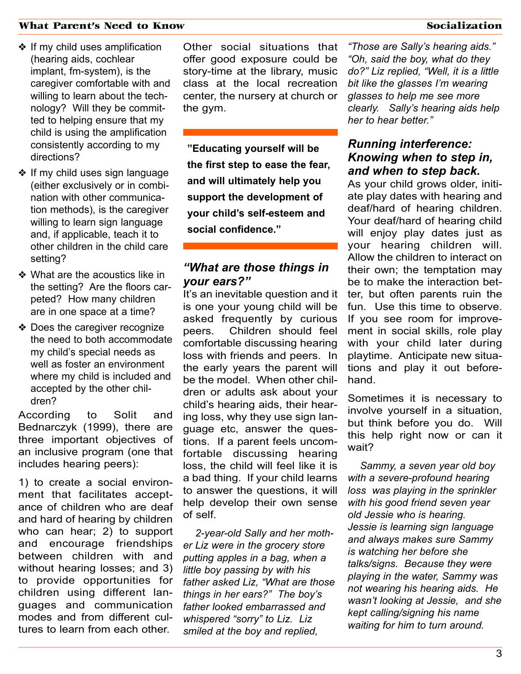- ❖ If my child uses amplification (hearing aids, cochlear implant, fm-system), is the caregiver comfortable with and willing to learn about the technology? Will they be committed to helping ensure that my child is using the amplification consistently according to my directions?
- ❖ If my child uses sign language (either exclusively or in combination with other communication methods), is the caregiver willing to learn sign language and, if applicable, teach it to other children in the child care setting?
- ❖ What are the acoustics like in the setting? Are the floors carpeted? How many children are in one space at a time?
- ❖ Does the caregiver recognize the need to both accommodate my child's special needs as well as foster an environment where my child is included and accepted by the other children?

According to Solit and Bednarczyk (1999), there are three important objectives of an inclusive program (one that includes hearing peers):

1) to create a social environment that facilitates acceptance of children who are deaf and hard of hearing by children who can hear; 2) to support and encourage friendships between children with and without hearing losses; and 3) to provide opportunities for children using different languages and communication modes and from different cultures to learn from each other.

Other social situations that offer good exposure could be story-time at the library, music class at the local recreation center, the nursery at church or the gym.

**"Educating yourself will be the first step to ease the fear, and will ultimately help you support the development of your child's self-esteem and social confidence."**

#### *"What are those things in your ears?"*

It's an inevitable question and it is one your young child will be asked frequently by curious peers. Children should feel comfortable discussing hearing loss with friends and peers. In the early years the parent will be the model. When other children or adults ask about your child's hearing aids, their hearing loss, why they use sign language etc, answer the questions. If a parent feels uncomfortable discussing hearing loss, the child will feel like it is a bad thing. If your child learns to answer the questions, it will help develop their own sense of self.

*2-year-old Sally and her mother Liz were in the grocery store putting apples in a bag, when a little boy passing by with his father asked Liz, "What are those things in her ears?" The boy's father looked embarrassed and whispered "sorry" to Liz. Liz smiled at the boy and replied,*

*"Those are Sally's hearing aids." "Oh, said the boy, what do they do?" Liz replied, "Well, it is a little bit like the glasses I'm wearing glasses to help me see more clearly. Sally's hearing aids help her to hear better."* 

#### *Running interference: Knowing when to step in, and when to step back.*

As your child grows older, initiate play dates with hearing and deaf/hard of hearing children. Your deaf/hard of hearing child will enjoy play dates just as your hearing children will. Allow the children to interact on their own; the temptation may be to make the interaction better, but often parents ruin the fun. Use this time to observe. If you see room for improvement in social skills, role play with your child later during playtime. Anticipate new situations and play it out beforehand.

Sometimes it is necessary to involve yourself in a situation, but think before you do. Will this help right now or can it wait?

*Sammy, a seven year old boy with a severe-profound hearing loss was playing in the sprinkler with his good friend seven year old Jessie who is hearing. Jessie is learning sign language and always makes sure Sammy is watching her before she talks/signs. Because they were playing in the water, Sammy was not wearing his hearing aids. He wasn't looking at Jessie, and she kept calling/signing his name waiting for him to turn around.*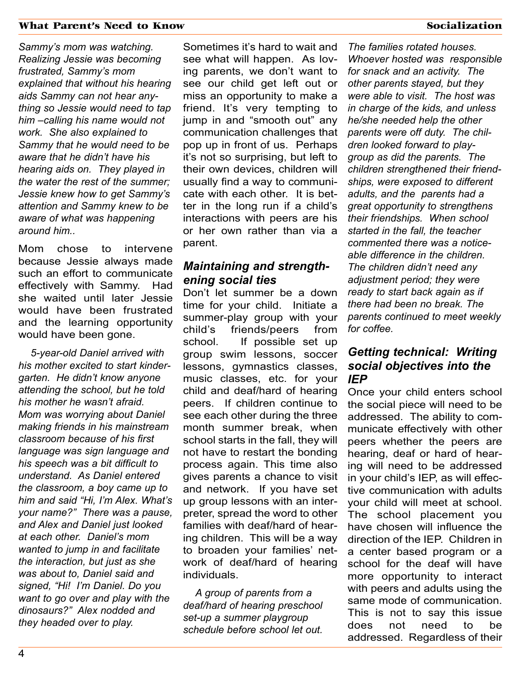*Sammy's mom was watching. Realizing Jessie was becoming frustrated, Sammy's mom explained that without his hearing aids Sammy can not hear anything so Jessie would need to tap him –calling his name would not work. She also explained to Sammy that he would need to be aware that he didn't have his hearing aids on. They played in the water the rest of the summer; Jessie knew how to get Sammy's attention and Sammy knew to be aware of what was happening around him..*

Mom chose to intervene because Jessie always made such an effort to communicate effectively with Sammy. Had she waited until later Jessie would have been frustrated and the learning opportunity would have been gone.

*5-year-old Daniel arrived with his mother excited to start kindergarten. He didn't know anyone attending the school, but he told his mother he wasn't afraid. Mom was worrying about Daniel making friends in his mainstream classroom because of his first language was sign language and his speech was a bit difficult to understand. As Daniel entered the classroom, a boy came up to him and said "Hi, I'm Alex. What's your name?" There was a pause, and Alex and Daniel just looked at each other. Daniel's mom wanted to jump in and facilitate the interaction, but just as she was about to, Daniel said and signed, "Hi! I'm Daniel. Do you want to go over and play with the dinosaurs?" Alex nodded and they headed over to play.*

Sometimes it's hard to wait and see what will happen. As loving parents, we don't want to see our child get left out or miss an opportunity to make a friend. It's very tempting to jump in and "smooth out" any communication challenges that pop up in front of us. Perhaps it's not so surprising, but left to their own devices, children will usually find a way to communicate with each other. It is better in the long run if a child's interactions with peers are his or her own rather than via a parent.

#### *Maintaining and strengthening social ties*

Don't let summer be a down time for your child. Initiate a summer-play group with your child's friends/peers from school. If possible set up group swim lessons, soccer lessons, gymnastics classes, music classes, etc. for your child and deaf/hard of hearing peers. If children continue to see each other during the three month summer break, when school starts in the fall, they will not have to restart the bonding process again. This time also gives parents a chance to visit and network. If you have set up group lessons with an interpreter, spread the word to other families with deaf/hard of hearing children. This will be a way to broaden your families' network of deaf/hard of hearing individuals.

*A group of parents from a deaf/hard of hearing preschool set-up a summer playgroup schedule before school let out.*

*The families rotated houses. Whoever hosted was responsible for snack and an activity. The other parents stayed, but they were able to visit. The host was in charge of the kids, and unless he/she needed help the other parents were off duty. The children looked forward to playgroup as did the parents. The children strengthened their friendships, were exposed to different adults, and the parents had a great opportunity to strengthens their friendships. When school started in the fall, the teacher commented there was a noticeable difference in the children. The children didn't need any adjustment period; they were ready to start back again as if there had been no break. The parents continued to meet weekly for coffee.*

#### *Getting technical: Writing social objectives into the IEP*

Once your child enters school the social piece will need to be addressed. The ability to communicate effectively with other peers whether the peers are hearing, deaf or hard of hearing will need to be addressed in your child's IEP, as will effective communication with adults your child will meet at school. The school placement you have chosen will influence the direction of the IEP. Children in a center based program or a school for the deaf will have more opportunity to interact with peers and adults using the same mode of communication. This is not to say this issue does not need to be addressed. Regardless of their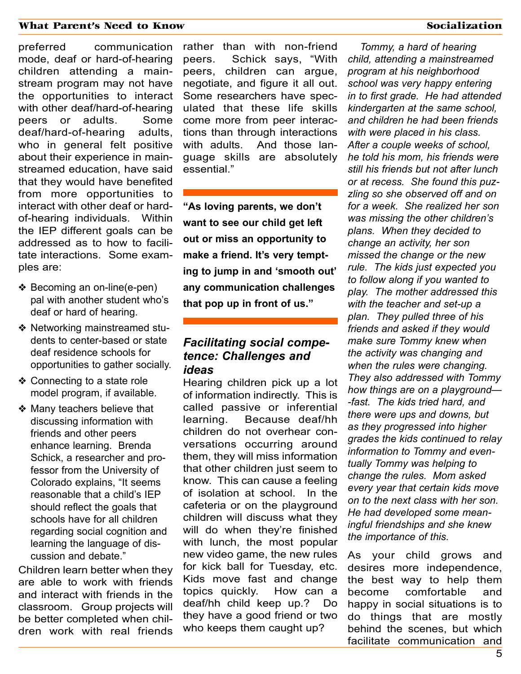preferred communication mode, deaf or hard-of-hearing children attending a mainstream program may not have the opportunities to interact with other deaf/hard-of-hearing peers or adults. Some deaf/hard-of-hearing adults, who in general felt positive about their experience in mainstreamed education, have said that they would have benefited from more opportunities to interact with other deaf or hardof-hearing individuals. Within the IEP different goals can be addressed as to how to facilitate interactions. Some examples are:

- ❖ Becoming an on-line(e-pen) pal with another student who's deaf or hard of hearing.
- ❖ Networking mainstreamed students to center-based or state deaf residence schools for opportunities to gather socially.
- ❖ Connecting to a state role model program, if available.
- ❖ Many teachers believe that discussing information with friends and other peers enhance learning. Brenda Schick, a researcher and professor from the University of Colorado explains, "It seems reasonable that a child's IEP should reflect the goals that schools have for all children regarding social cognition and learning the language of discussion and debate."

Children learn better when they are able to work with friends and interact with friends in the classroom. Group projects will be better completed when children work with real friends rather than with non-friend peers. Schick says, "With peers, children can argue, negotiate, and figure it all out. Some researchers have speculated that these life skills come more from peer interactions than through interactions with adults. And those language skills are absolutely essential."

**"As loving parents, we don't want to see our child get left out or miss an opportunity to make a friend. It's very tempting to jump in and 'smooth out' any communication challenges that pop up in front of us."**

#### *Facilitating social competence: Challenges and ideas*

Hearing children pick up a lot of information indirectly. This is called passive or inferential learning. Because deaf/hh children do not overhear conversations occurring around them, they will miss information that other children just seem to know. This can cause a feeling of isolation at school. In the cafeteria or on the playground children will discuss what they will do when they're finished with lunch, the most popular new video game, the new rules for kick ball for Tuesday, etc. Kids move fast and change topics quickly. How can a deaf/hh child keep up.? Do they have a good friend or two who keeps them caught up?

*Tommy, a hard of hearing child, attending a mainstreamed program at his neighborhood school was very happy entering in to first grade. He had attended kindergarten at the same school, and children he had been friends with were placed in his class. After a couple weeks of school, he told his mom, his friends were still his friends but not after lunch or at recess. She found this puzzling so she observed off and on for a week. She realized her son was missing the other children's plans. When they decided to change an activity, her son missed the change or the new rule. The kids just expected you to follow along if you wanted to play. The mother addressed this with the teacher and set-up a plan. They pulled three of his friends and asked if they would make sure Tommy knew when the activity was changing and when the rules were changing. They also addressed with Tommy how things are on a playground— -fast. The kids tried hard, and there were ups and downs, but as they progressed into higher grades the kids continued to relay information to Tommy and eventually Tommy was helping to change the rules. Mom asked every year that certain kids move on to the next class with her son. He had developed some meaningful friendships and she knew the importance of this.*

As your child grows and desires more independence, the best way to help them become comfortable and happy in social situations is to do things that are mostly behind the scenes, but which facilitate communication and